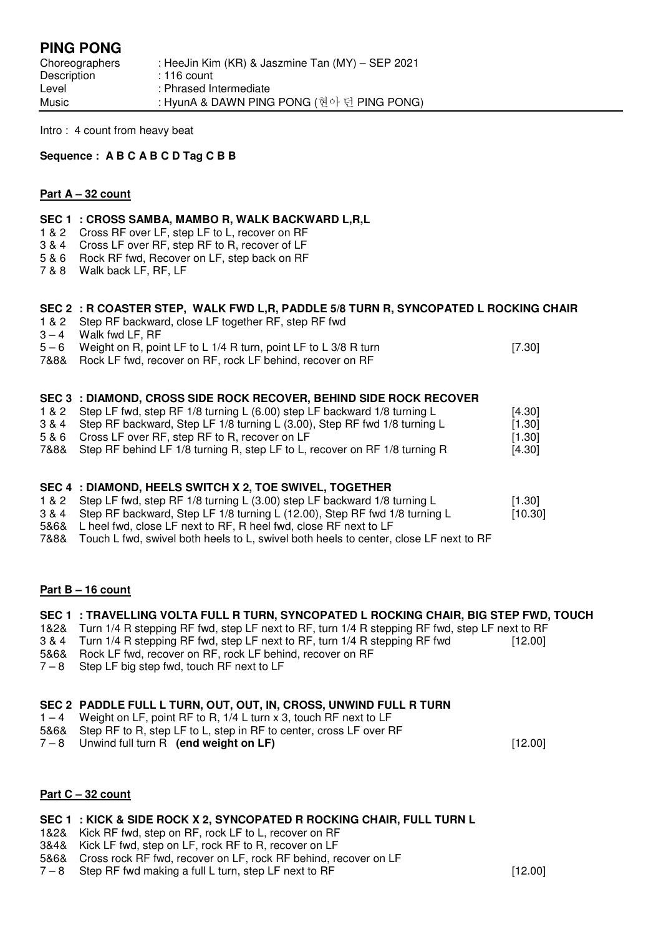| <b>PING PONG</b> |                                                  |
|------------------|--------------------------------------------------|
| Choreographers   | : HeeJin Kim (KR) & Jaszmine Tan (MY) – SEP 2021 |
| Description      | $: 116$ count                                    |
| Level            | : Phrased Intermediate                           |
| Music            | : HyunA & DAWN PING PONG (현아 던 PING PONG)        |

Intro : 4 count from heavy beat

# **Sequence : A B C A B C D Tag C B B**

## **Part A – 32 count**

### **SEC 1 : CROSS SAMBA, MAMBO R, WALK BACKWARD L,R,L**

- 1 & 2 Cross RF over LF, step LF to L, recover on RF
- 3 & 4 Cross LF over RF, step RF to R, recover of LF
- 5 & 6 Rock RF fwd, Recover on LF, step back on RF
- 7 & 8 Walk back LF, RF, LF

## **SEC 2 : R COASTER STEP, WALK FWD L,R, PADDLE 5/8 TURN R, SYNCOPATED L ROCKING CHAIR**

- 1 & 2 Step RF backward, close LF together RF, step RF fwd
- $3 4$  Walk fwd LF, RF<br> $5 6$  Weight on R, poi

Weight on R, point LF to L 1/4 R turn, point LF to L 3/8 R turn [7.30]

7&8& Rock LF fwd, recover on RF, rock LF behind, recover on RF

### **SEC 3 : DIAMOND, CROSS SIDE ROCK RECOVER, BEHIND SIDE ROCK RECOVER**

| 1 & 2 Step LF fwd, step RF 1/8 turning L (6.00) step LF backward 1/8 turning L  | $[4.30]$ |
|---------------------------------------------------------------------------------|----------|
| 3 & 4 Step RF backward, Step LF 1/8 turning L (3.00), Step RF fwd 1/8 turning L | [1.30]   |
| 5 & 6 Cross LF over RF, step RF to R, recover on LF                             | [1.30]   |
| 7&8& Step RF behind LF 1/8 turning R, step LF to L, recover on RF 1/8 turning R | $[4.30]$ |

### **SEC 4 : DIAMOND, HEELS SWITCH X 2, TOE SWIVEL, TOGETHER**

- 1 & 2 Step LF fwd, step RF 1/8 turning L (3.00) step LF backward 1/8 turning L [1.30]
- 3 & 4 Step RF backward, Step LF 1/8 turning L (12.00), Step RF fwd 1/8 turning L [10.30]
- 5&6& L heel fwd, close LF next to RF, R heel fwd, close RF next to LF
- 7&8& Touch L fwd, swivel both heels to L, swivel both heels to center, close LF next to RF

#### **Part B – 16 count**

## **SEC 1 : TRAVELLING VOLTA FULL R TURN, SYNCOPATED L ROCKING CHAIR, BIG STEP FWD, TOUCH**

- 1&2& Turn 1/4 R stepping RF fwd, step LF next to RF, turn 1/4 R stepping RF fwd, step LF next to RF
- 3 & 4 Turn 1/4 R stepping RF fwd, step LF next to RF, turn 1/4 R stepping RF fwd [12.00]
- 5&6& Rock LF fwd, recover on RF, rock LF behind, recover on RF
- $7 8$  Step LF big step fwd, touch RF next to LF

#### **SEC 2 PADDLE FULL L TURN, OUT, OUT, IN, CROSS, UNWIND FULL R TURN**

- 1 4 Weight on LF, point RF to R, 1/4 L turn x 3, touch RF next to LF
- 5&6& Step RF to R, step LF to L, step in RF to center, cross LF over RF
- 7 8 Unwind full turn R **(end weight on LF)** [12.00]

#### **Part C – 32 count**

## **SEC 1 : KICK & SIDE ROCK X 2, SYNCOPATED R ROCKING CHAIR, FULL TURN L**

- 1&2& Kick RF fwd, step on RF, rock LF to L, recover on RF
- 3&4& Kick LF fwd, step on LF, rock RF to R, recover on LF
- 5&6& Cross rock RF fwd, recover on LF, rock RF behind, recover on LF<br>7 8 Step RF fwd making a full L turn, step LF next to RF
- Step RF fwd making a full L turn, step LF next to RF **contained a step Step RF** [12.00]